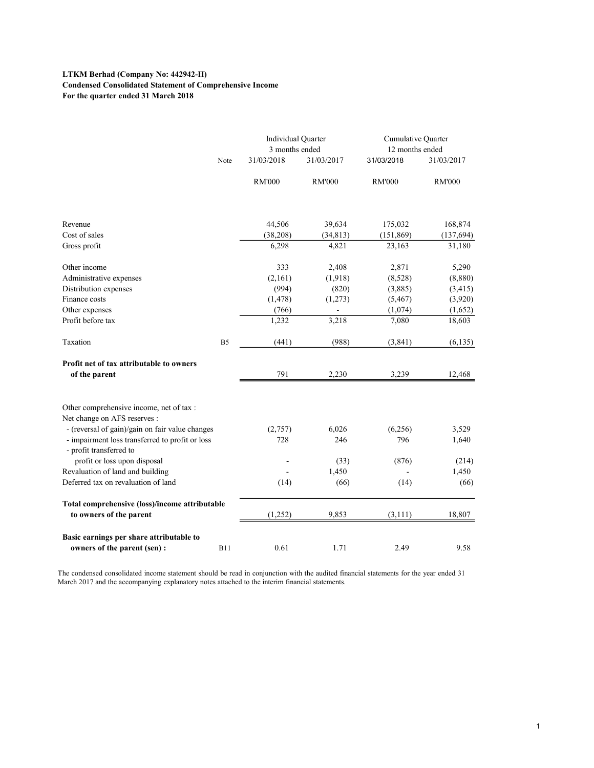# LTKM Berhad (Company No: 442942-H) Condensed Consolidated Statement of Comprehensive Income For the quarter ended 31 March 2018

|                                                                            |                |                | Individual Quarter<br>3 months ended |               | Cumulative Quarter<br>12 months ended |  |  |
|----------------------------------------------------------------------------|----------------|----------------|--------------------------------------|---------------|---------------------------------------|--|--|
|                                                                            | Note           | 31/03/2018     | 31/03/2017                           | 31/03/2018    | 31/03/2017                            |  |  |
|                                                                            |                | <b>RM'000</b>  | <b>RM'000</b>                        | <b>RM'000</b> | <b>RM'000</b>                         |  |  |
| Revenue                                                                    |                | 44,506         | 39,634                               | 175,032       | 168,874                               |  |  |
| Cost of sales                                                              |                | (38, 208)      | (34, 813)                            | (151, 869)    | (137, 694)                            |  |  |
| Gross profit                                                               |                | 6,298          | 4,821                                | 23,163        | 31,180                                |  |  |
| Other income                                                               |                | 333            | 2,408                                | 2,871         | 5,290                                 |  |  |
| Administrative expenses                                                    |                | (2,161)        | (1,918)                              | (8,528)       | (8,880)                               |  |  |
| Distribution expenses                                                      |                | (994)          | (820)                                | (3,885)       | (3, 415)                              |  |  |
| Finance costs                                                              |                | (1, 478)       | (1,273)                              | (5, 467)      | (3,920)                               |  |  |
| Other expenses                                                             |                | (766)          | $\sim$                               | (1,074)       | (1,652)                               |  |  |
| Profit before tax                                                          |                | 1,232          | 3,218                                | 7,080         | 18,603                                |  |  |
| Taxation                                                                   | B <sub>5</sub> | (441)          | (988)                                | (3, 841)      | (6, 135)                              |  |  |
| Profit net of tax attributable to owners                                   |                |                |                                      |               |                                       |  |  |
| of the parent                                                              |                | 791            | 2,230                                | 3,239         | 12,468                                |  |  |
| Other comprehensive income, net of tax :                                   |                |                |                                      |               |                                       |  |  |
| Net change on AFS reserves :                                               |                |                |                                      |               |                                       |  |  |
| - (reversal of gain)/gain on fair value changes                            |                | (2,757)        | 6,026                                | (6,256)       | 3,529                                 |  |  |
| - impairment loss transferred to profit or loss<br>- profit transferred to |                | 728            | 246                                  | 796           | 1,640                                 |  |  |
| profit or loss upon disposal                                               |                |                | (33)                                 | (876)         | (214)                                 |  |  |
| Revaluation of land and building                                           |                | $\blacksquare$ | 1,450                                |               | 1,450                                 |  |  |
| Deferred tax on revaluation of land                                        |                | (14)           | (66)                                 | (14)          | (66)                                  |  |  |
| Total comprehensive (loss)/income attributable<br>to owners of the parent  |                | (1,252)        | 9,853                                | (3, 111)      | 18,807                                |  |  |
|                                                                            |                |                |                                      |               |                                       |  |  |
|                                                                            |                |                |                                      |               |                                       |  |  |
| Basic earnings per share attributable to                                   |                | 0.61           | 1.71                                 | 2.49          | 9.58                                  |  |  |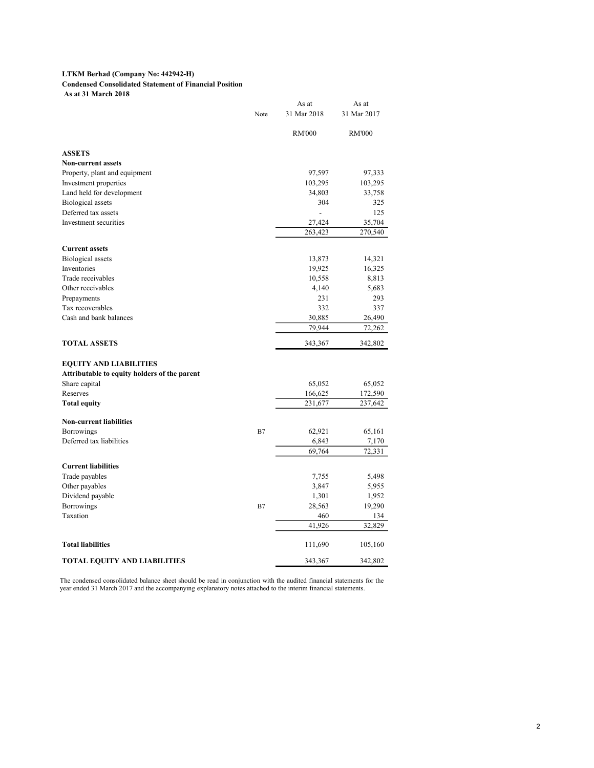#### LTKM Berhad (Company No: 442942-H)

## Condensed Consolidated Statement of Financial Position

As at 31 March 2018

| Note | 31 Mar 2018<br><b>RM'000</b><br>97,597<br>103,295 | 31 Mar 2017<br><b>RM'000</b><br>97,333<br>103,295                                                                                                          |
|------|---------------------------------------------------|------------------------------------------------------------------------------------------------------------------------------------------------------------|
|      |                                                   |                                                                                                                                                            |
|      |                                                   |                                                                                                                                                            |
|      |                                                   |                                                                                                                                                            |
|      |                                                   |                                                                                                                                                            |
|      |                                                   |                                                                                                                                                            |
|      |                                                   |                                                                                                                                                            |
|      | 34,803                                            | 33,758                                                                                                                                                     |
|      | 304                                               | 325                                                                                                                                                        |
|      |                                                   | 125                                                                                                                                                        |
|      | $\overline{\phantom{a}}$                          |                                                                                                                                                            |
|      | 27,424                                            | 35,704                                                                                                                                                     |
|      | 263,423                                           | 270,540                                                                                                                                                    |
|      |                                                   |                                                                                                                                                            |
|      | 13,873                                            | 14,321                                                                                                                                                     |
|      | 19,925                                            | 16,325                                                                                                                                                     |
|      | 10,558                                            | 8,813                                                                                                                                                      |
|      |                                                   | 5,683                                                                                                                                                      |
|      |                                                   | 293                                                                                                                                                        |
|      |                                                   | 337                                                                                                                                                        |
|      |                                                   |                                                                                                                                                            |
|      |                                                   | 26,490                                                                                                                                                     |
|      |                                                   | 72,262                                                                                                                                                     |
|      | 343,367                                           | 342,802                                                                                                                                                    |
|      |                                                   |                                                                                                                                                            |
|      |                                                   |                                                                                                                                                            |
|      |                                                   |                                                                                                                                                            |
|      |                                                   | 65,052                                                                                                                                                     |
|      |                                                   | 172,590                                                                                                                                                    |
|      |                                                   | 237,642                                                                                                                                                    |
|      |                                                   |                                                                                                                                                            |
|      |                                                   |                                                                                                                                                            |
|      |                                                   | 65,161                                                                                                                                                     |
|      |                                                   | 7,170                                                                                                                                                      |
|      |                                                   | 72,331                                                                                                                                                     |
|      |                                                   |                                                                                                                                                            |
|      |                                                   | 5,498                                                                                                                                                      |
|      |                                                   | 5,955                                                                                                                                                      |
|      |                                                   | 1,952                                                                                                                                                      |
|      |                                                   | 19,290                                                                                                                                                     |
|      |                                                   | 134                                                                                                                                                        |
|      |                                                   | 32,829                                                                                                                                                     |
|      |                                                   |                                                                                                                                                            |
|      | 111,690                                           | 105,160                                                                                                                                                    |
|      | 343,367                                           | 342,802                                                                                                                                                    |
|      | B7<br>B7                                          | 4,140<br>231<br>332<br>30,885<br>79,944<br>65,052<br>166,625<br>231,677<br>62,921<br>6,843<br>69,764<br>7,755<br>3,847<br>1,301<br>28,563<br>460<br>41,926 |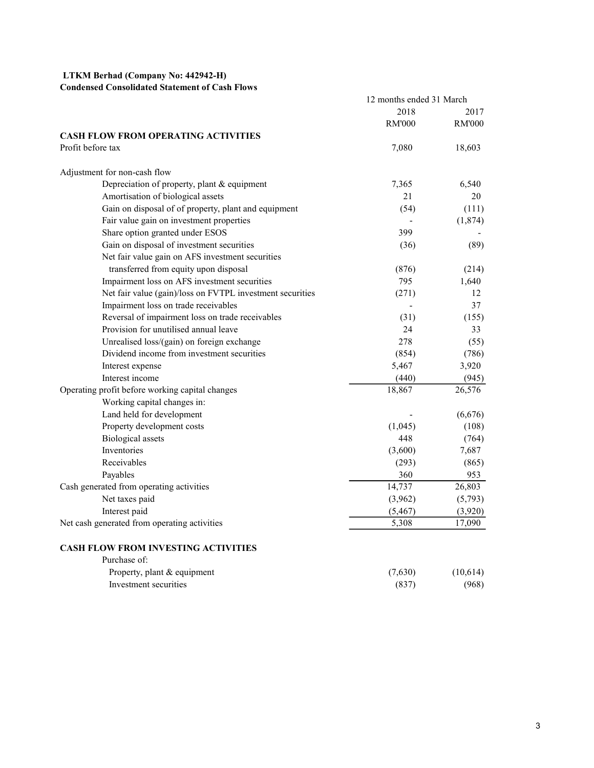# LTKM Berhad (Company No: 442942-H)

# Condensed Consolidated Statement of Cash Flows

|                                                           | 12 months ended 31 March |               |
|-----------------------------------------------------------|--------------------------|---------------|
|                                                           | 2018                     | 2017          |
|                                                           | <b>RM'000</b>            | <b>RM'000</b> |
| <b>CASH FLOW FROM OPERATING ACTIVITIES</b>                |                          |               |
| Profit before tax                                         | 7,080                    | 18,603        |
| Adjustment for non-cash flow                              |                          |               |
| Depreciation of property, plant & equipment               | 7,365                    | 6,540         |
| Amortisation of biological assets                         | 21                       | 20            |
| Gain on disposal of of property, plant and equipment      | (54)                     | (111)         |
| Fair value gain on investment properties                  |                          | (1,874)       |
| Share option granted under ESOS                           | 399                      |               |
| Gain on disposal of investment securities                 | (36)                     | (89)          |
| Net fair value gain on AFS investment securities          |                          |               |
| transferred from equity upon disposal                     | (876)                    | (214)         |
| Impairment loss on AFS investment securities              | 795                      | 1,640         |
| Net fair value (gain)/loss on FVTPL investment securities | (271)                    | 12            |
| Impairment loss on trade receivables                      |                          | 37            |
| Reversal of impairment loss on trade receivables          | (31)                     | (155)         |
| Provision for unutilised annual leave                     | 24                       | 33            |
| Unrealised loss/(gain) on foreign exchange                | 278                      | (55)          |
| Dividend income from investment securities                | (854)                    | (786)         |
| Interest expense                                          | 5,467                    | 3,920         |
| Interest income                                           | (440)                    | (945)         |
| Operating profit before working capital changes           | 18,867                   | 26,576        |
| Working capital changes in:                               |                          |               |
| Land held for development                                 |                          | (6,676)       |
| Property development costs                                | (1,045)                  | (108)         |
| <b>Biological</b> assets                                  | 448                      | (764)         |
| Inventories                                               | (3,600)                  | 7,687         |
| Receivables                                               | (293)                    | (865)         |
| Payables                                                  | 360                      | 953           |
| Cash generated from operating activities                  | 14,737                   | 26,803        |
| Net taxes paid                                            | (3,962)                  | (5,793)       |
| Interest paid                                             | (5, 467)                 | (3,920)       |
| Net cash generated from operating activities              | 5,308                    | 17,090        |
| <b>CASH FLOW FROM INVESTING ACTIVITIES</b>                |                          |               |
| Purchase of:                                              |                          |               |
|                                                           |                          |               |

| Property, plant & equipment | (7,630) | (10,614) |
|-----------------------------|---------|----------|
| Investment securities       | (837)   | (968)    |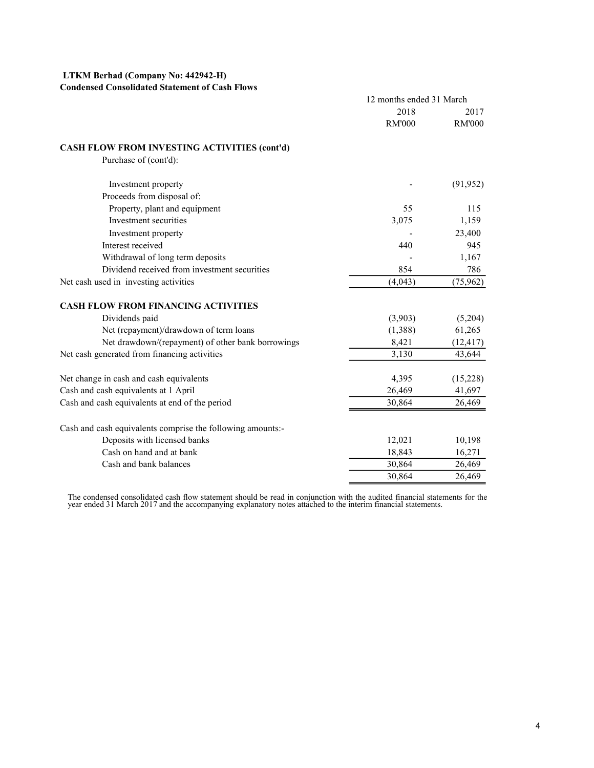# LTKM Berhad (Company No: 442942-H)

## Condensed Consolidated Statement of Cash Flows

| 2018<br><b>RM'000</b>                                      | 2017                                                                                                                       |
|------------------------------------------------------------|----------------------------------------------------------------------------------------------------------------------------|
|                                                            |                                                                                                                            |
|                                                            | <b>RM'000</b>                                                                                                              |
| CASH FLOW FROM INVESTING ACTIVITIES (cont'd)               |                                                                                                                            |
| Purchase of (cont'd):                                      |                                                                                                                            |
| Investment property                                        | (91, 952)                                                                                                                  |
| Proceeds from disposal of:                                 |                                                                                                                            |
| Property, plant and equipment<br>55                        | 115                                                                                                                        |
| Investment securities<br>3,075                             | 1,159                                                                                                                      |
| Investment property                                        | 23,400                                                                                                                     |
| Interest received<br>440                                   | 945                                                                                                                        |
| Withdrawal of long term deposits                           | 1,167                                                                                                                      |
| Dividend received from investment securities<br>854        | 786                                                                                                                        |
| Net cash used in investing activities<br>(4,043)           | (75, 962)                                                                                                                  |
| <b>CASH FLOW FROM FINANCING ACTIVITIES</b>                 |                                                                                                                            |
| Dividends paid<br>(3,903)                                  | (5,204)                                                                                                                    |
| Net (repayment)/drawdown of term loans<br>(1,388)          | 61,265                                                                                                                     |
| Net drawdown/(repayment) of other bank borrowings<br>8,421 | (12, 417)                                                                                                                  |
| Net cash generated from financing activities<br>3,130      | 43,644                                                                                                                     |
| Net change in cash and cash equivalents<br>4,395           | (15,228)                                                                                                                   |
| Cash and cash equivalents at 1 April<br>26,469             | 41,697                                                                                                                     |
| Cash and cash equivalents at end of the period<br>30,864   | 26,469                                                                                                                     |
| Cash and cash equivalents comprise the following amounts:- |                                                                                                                            |
| Deposits with licensed banks<br>12,021                     | 10,198                                                                                                                     |
| Cash on hand and at bank<br>18,843                         | 16,271                                                                                                                     |
| Cash and bank balances<br>30,864                           | 26,469                                                                                                                     |
| 30,864                                                     | 26,469                                                                                                                     |
|                                                            | The condensed consolidated cash flow statement should be read in conjunction with the audited financial statements for the |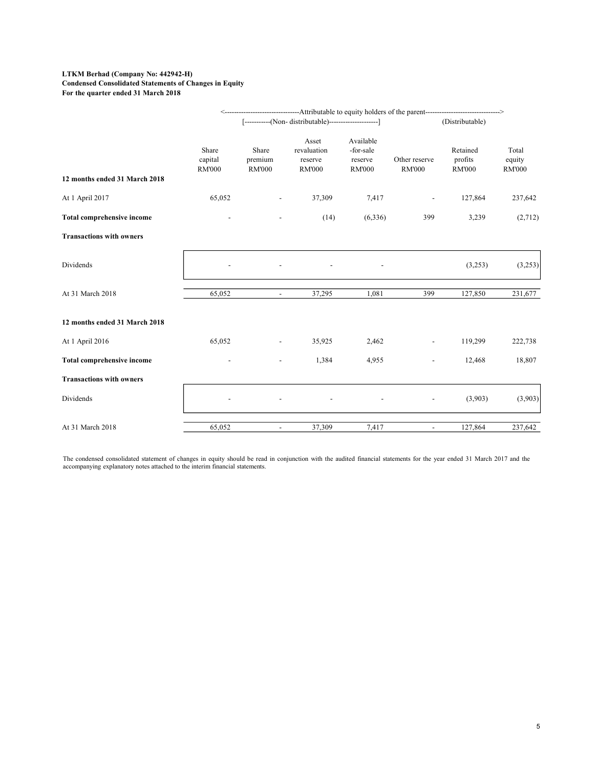#### LTKM Berhad (Company No: 442942-H) Condensed Consolidated Statements of Changes in Equity For the quarter ended 31 March 2018

|                                 |                                   |                                   | [-----------(Non- distributable)----------------------] |                                                    |                                | (Distributable)                      |                                  |
|---------------------------------|-----------------------------------|-----------------------------------|---------------------------------------------------------|----------------------------------------------------|--------------------------------|--------------------------------------|----------------------------------|
| 12 months ended 31 March 2018   | Share<br>capital<br><b>RM'000</b> | Share<br>premium<br><b>RM'000</b> | Asset<br>revaluation<br>reserve<br><b>RM'000</b>        | Available<br>-for-sale<br>reserve<br><b>RM'000</b> | Other reserve<br><b>RM'000</b> | Retained<br>profits<br><b>RM'000</b> | Total<br>equity<br><b>RM'000</b> |
| At 1 April 2017                 | 65,052                            | $\overline{\phantom{a}}$          | 37,309                                                  | 7,417                                              | $\overline{\phantom{a}}$       | 127,864                              | 237,642                          |
| Total comprehensive income      |                                   | $\overline{\phantom{a}}$          | (14)                                                    | (6, 336)                                           | 399                            | 3,239                                | (2,712)                          |
| <b>Transactions with owners</b> |                                   |                                   |                                                         |                                                    |                                |                                      |                                  |
| Dividends                       |                                   |                                   |                                                         |                                                    |                                | (3,253)                              | (3,253)                          |
| At 31 March 2018                | 65,052                            | $\sim$                            | 37,295                                                  | 1,081                                              | 399                            | 127,850                              | 231,677                          |
| 12 months ended 31 March 2018   |                                   |                                   |                                                         |                                                    |                                |                                      |                                  |
| At 1 April 2016                 | 65,052                            | $\overline{\phantom{a}}$          | 35,925                                                  | 2,462                                              | $\overline{\phantom{a}}$       | 119,299                              | 222,738                          |
| Total comprehensive income      |                                   | $\overline{\phantom{a}}$          | 1,384                                                   | 4,955                                              | $\overline{\phantom{a}}$       | 12,468                               | 18,807                           |
| <b>Transactions with owners</b> |                                   |                                   |                                                         |                                                    |                                |                                      |                                  |
| Dividends                       |                                   |                                   |                                                         |                                                    | $\overline{\phantom{a}}$       | (3,903)                              | (3,903)                          |
|                                 |                                   |                                   | 37,309                                                  | 7,417                                              | $\sim$                         | 127,864                              | 237,642                          |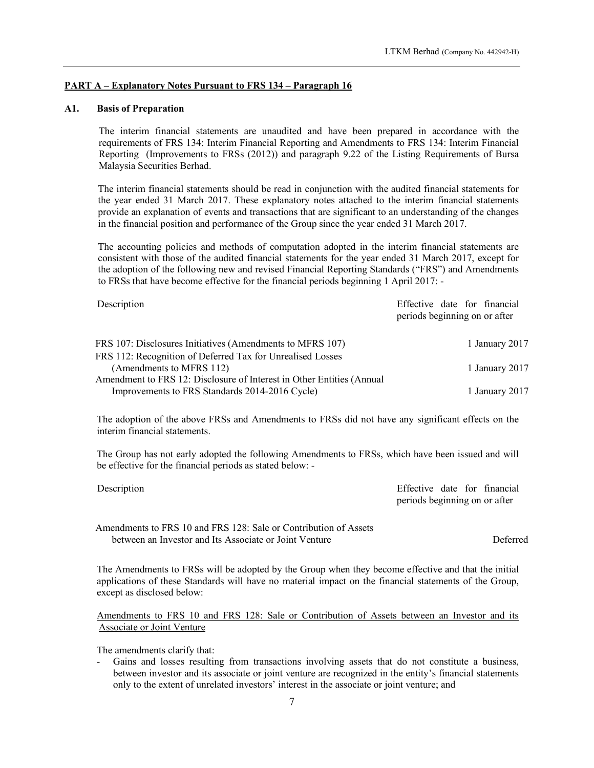## PART A – Explanatory Notes Pursuant to FRS 134 – Paragraph 16

# A1. Basis of Preparation

The interim financial statements are unaudited and have been prepared in accordance with the requirements of FRS 134: Interim Financial Reporting and Amendments to FRS 134: Interim Financial Reporting (Improvements to FRSs (2012)) and paragraph 9.22 of the Listing Requirements of Bursa Malaysia Securities Berhad.

The interim financial statements should be read in conjunction with the audited financial statements for the year ended 31 March 2017. These explanatory notes attached to the interim financial statements provide an explanation of events and transactions that are significant to an understanding of the changes in the financial position and performance of the Group since the year ended 31 March 2017.

The accounting policies and methods of computation adopted in the interim financial statements are consistent with those of the audited financial statements for the year ended 31 March 2017, except for the adoption of the following new and revised Financial Reporting Standards ("FRS") and Amendments to FRSs that have become effective for the financial periods beginning 1 April 2017: -

| Description                                                           | Effective date for financial<br>periods beginning on or after |
|-----------------------------------------------------------------------|---------------------------------------------------------------|
| FRS 107: Disclosures Initiatives (Amendments to MFRS 107)             | 1 January 2017                                                |
| FRS 112: Recognition of Deferred Tax for Unrealised Losses            |                                                               |
| (Amendments to MFRS 112)                                              | 1 January 2017                                                |
| Amendment to FRS 12: Disclosure of Interest in Other Entities (Annual |                                                               |
| Improvements to FRS Standards 2014-2016 Cycle)                        | 1 January 2017                                                |

The adoption of the above FRSs and Amendments to FRSs did not have any significant effects on the interim financial statements.

The Group has not early adopted the following Amendments to FRSs, which have been issued and will be effective for the financial periods as stated below: -

| Description | Effective date for financial  |
|-------------|-------------------------------|
|             | periods beginning on or after |

Amendments to FRS 10 and FRS 128: Sale or Contribution of Assets between an Investor and Its Associate or Joint Venture

Deferred

The Amendments to FRSs will be adopted by the Group when they become effective and that the initial applications of these Standards will have no material impact on the financial statements of the Group, except as disclosed below:

Amendments to FRS 10 and FRS 128: Sale or Contribution of Assets between an Investor and its Associate or Joint Venture

The amendments clarify that:

- Gains and losses resulting from transactions involving assets that do not constitute a business, between investor and its associate or joint venture are recognized in the entity's financial statements only to the extent of unrelated investors' interest in the associate or joint venture; and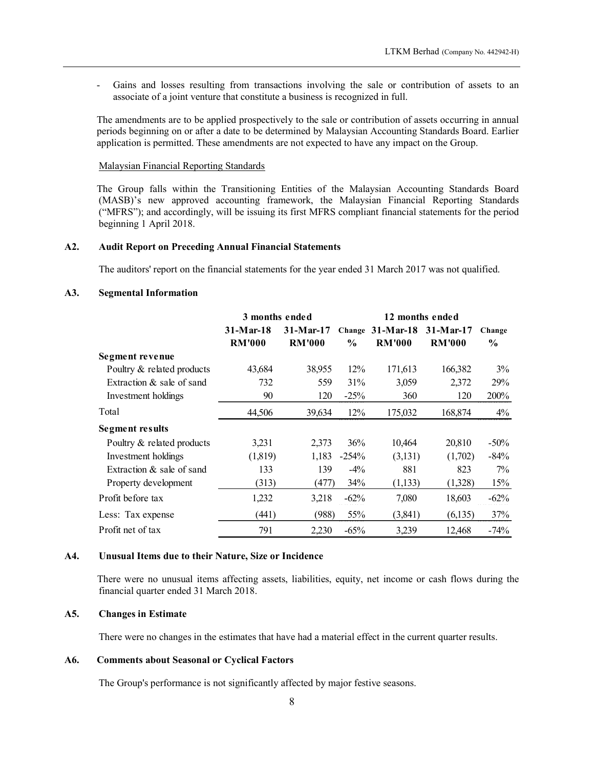#### Malaysian Financial Reporting Standards

#### A2. Audit Report on Preceding Annual Financial Statements

## A3. Segmental Information

| Gains and losses resulting from transactions involving the sale or contribution of assets to an<br>associate of a joint venture that constitute a business is recognized in full.                                                                                                                                              |                              |                              |                |                                             |                   |                         |
|--------------------------------------------------------------------------------------------------------------------------------------------------------------------------------------------------------------------------------------------------------------------------------------------------------------------------------|------------------------------|------------------------------|----------------|---------------------------------------------|-------------------|-------------------------|
| The amendments are to be applied prospectively to the sale or contribution of assets occurring in annual<br>periods beginning on or after a date to be determined by Malaysian Accounting Standards Board. Earlier<br>application is permitted. These amendments are not expected to have any impact on the Group.             |                              |                              |                |                                             |                   |                         |
| <b>Malaysian Financial Reporting Standards</b>                                                                                                                                                                                                                                                                                 |                              |                              |                |                                             |                   |                         |
| The Group falls within the Transitioning Entities of the Malaysian Accounting Standards Board<br>(MASB)'s new approved accounting framework, the Malaysian Financial Reporting Standards<br>("MFRS"); and accordingly, will be issuing its first MFRS compliant financial statements for the period<br>beginning 1 April 2018. |                              |                              |                |                                             |                   |                         |
| <b>Audit Report on Preceding Annual Financial Statements</b>                                                                                                                                                                                                                                                                   |                              |                              |                |                                             |                   |                         |
| The auditors' report on the financial statements for the year ended 31 March 2017 was not qualified.                                                                                                                                                                                                                           |                              |                              |                |                                             |                   |                         |
|                                                                                                                                                                                                                                                                                                                                |                              |                              |                |                                             |                   |                         |
| <b>Segmental Information</b>                                                                                                                                                                                                                                                                                                   |                              |                              |                |                                             |                   |                         |
|                                                                                                                                                                                                                                                                                                                                | 3 months ended               |                              |                |                                             | 12 months ended   |                         |
|                                                                                                                                                                                                                                                                                                                                | $31-Mar-18$<br><b>RM'000</b> | $31-Mar-17$<br><b>RM'000</b> | $\frac{0}{0}$  | Change 31-Mar-18 31-Mar-17<br><b>RM'000</b> | <b>RM'000</b>     | Change<br>$\frac{0}{0}$ |
| Segment revenue                                                                                                                                                                                                                                                                                                                |                              |                              |                |                                             |                   |                         |
| Poultry & related products                                                                                                                                                                                                                                                                                                     | 43,684                       | 38,955                       | 12%            | 171,613                                     | 166,382           | 3%                      |
| Extraction & sale of sand                                                                                                                                                                                                                                                                                                      | 732                          | 559                          | 31%            | 3,059                                       | 2,372             | 29%                     |
| Investment holdings                                                                                                                                                                                                                                                                                                            | 90                           | 120                          | $-25%$         | 360                                         | 120               | 200%                    |
| Total                                                                                                                                                                                                                                                                                                                          | 44,506                       | 39,634                       | 12%            | 175,032                                     | 168,874           | 4%                      |
| <b>Segment results</b>                                                                                                                                                                                                                                                                                                         |                              |                              |                |                                             |                   |                         |
| Poultry & related products<br>Investment holdings                                                                                                                                                                                                                                                                              | 3,231<br>(1,819)             | 2,373<br>1,183               | 36%<br>$-254%$ | 10,464<br>(3,131)                           | 20,810<br>(1,702) | $-50%$<br>$-84%$        |
| Extraction & sale of sand                                                                                                                                                                                                                                                                                                      | 133                          | 139                          | $-4\%$         | 881                                         | 823               | 7%                      |
| Property development                                                                                                                                                                                                                                                                                                           | (313)                        | (477)                        | 34%            | (1, 133)                                    | (1,328)           | 15%                     |
| Profit before tax                                                                                                                                                                                                                                                                                                              | 1,232                        | 3,218                        | $-62\%$        | 7,080                                       | 18,603            | $-62%$                  |
| Less: Tax expense                                                                                                                                                                                                                                                                                                              | (441)                        | (988)                        | 55%            | (3,841)                                     | (6,135)           | 37%                     |
| Profit net of tax                                                                                                                                                                                                                                                                                                              | 791                          | 2,230                        | $-65%$         | 3,239                                       | 12,468            | $-74%$                  |
|                                                                                                                                                                                                                                                                                                                                |                              |                              |                |                                             |                   |                         |
| Unusual Items due to their Nature, Size or Incidence                                                                                                                                                                                                                                                                           |                              |                              |                |                                             |                   |                         |
|                                                                                                                                                                                                                                                                                                                                |                              |                              |                |                                             |                   |                         |
| There were no unusual items affecting assets, liabilities, equity, net income or cash flows during the<br>financial quarter ended 31 March 2018.                                                                                                                                                                               |                              |                              |                |                                             |                   |                         |

#### A4. Unusual Items due to their Nature, Size or Incidence

#### A5. Changes in Estimate

There were no changes in the estimates that have had a material effect in the current quarter results.

#### A6. Comments about Seasonal or Cyclical Factors

The Group's performance is not significantly affected by major festive seasons.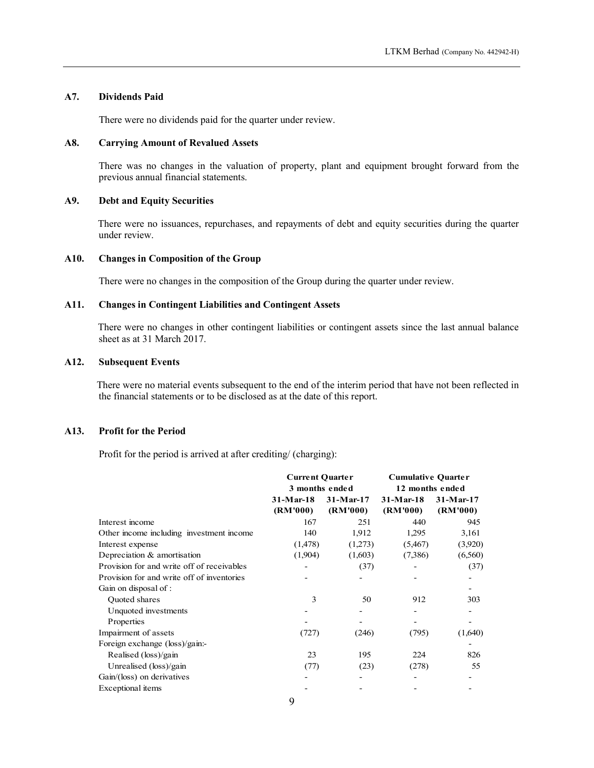# A7. Dividends Paid

There were no dividends paid for the quarter under review.

#### A8. Carrying Amount of Revalued Assets

There was no changes in the valuation of property, plant and equipment brought forward from the previous annual financial statements.

#### A9. Debt and Equity Securities

There were no issuances, repurchases, and repayments of debt and equity securities during the quarter under review.

#### A10. Changes in Composition of the Group

## A11. Changes in Contingent Liabilities and Contingent Assets

# A12. Subsequent Events

# A13. Profit for the Period

| <b>Changes in Composition of the Group</b>                                                                                                                                              |                                                         |                          |                                                                            |                       |
|-----------------------------------------------------------------------------------------------------------------------------------------------------------------------------------------|---------------------------------------------------------|--------------------------|----------------------------------------------------------------------------|-----------------------|
| There were no changes in the composition of the Group during the quarter under review.                                                                                                  |                                                         |                          |                                                                            |                       |
| <b>Changes in Contingent Liabilities and Contingent Assets</b>                                                                                                                          |                                                         |                          |                                                                            |                       |
| There were no changes in other contingent liabilities or contingent assets since the last annual balance<br>sheet as at 31 March 2017.                                                  |                                                         |                          |                                                                            |                       |
| <b>Subsequent Events</b>                                                                                                                                                                |                                                         |                          |                                                                            |                       |
| There were no material events subsequent to the end of the interim period that have not been reflected in<br>the financial statements or to be disclosed as at the date of this report. |                                                         |                          |                                                                            |                       |
| <b>Profit for the Period</b>                                                                                                                                                            |                                                         |                          |                                                                            |                       |
| Profit for the period is arrived at after crediting/ (charging):                                                                                                                        |                                                         |                          |                                                                            |                       |
|                                                                                                                                                                                         | <b>Current Quarter</b><br>3 months ended<br>$31-Mar-18$ | $31-Mar-17$              | <b>Cumulative Quarter</b><br>12 months ended<br>$31-Mar-18$<br>$31-Mar-17$ |                       |
| Interest income                                                                                                                                                                         | (RM'000)                                                | (RM'000)                 | (RM'000)                                                                   | (RM'000)<br>945       |
|                                                                                                                                                                                         | 167                                                     | 251                      | 440                                                                        |                       |
| Other income including investment income                                                                                                                                                | 140                                                     | 1,912                    | 1,295                                                                      | 3,161                 |
| Interest expense                                                                                                                                                                        | (1,478)                                                 | (1,273)                  | (5,467)                                                                    | (3,920)               |
| Depreciation & amortisation                                                                                                                                                             | (1,904)                                                 | (1,603)                  | (7,386)                                                                    | (6,560)               |
| Provision for and write off of receivables                                                                                                                                              | $\overline{\phantom{a}}$                                | (37)                     | $\blacksquare$                                                             | (37)                  |
| Provision for and write off of inventories                                                                                                                                              |                                                         | $\overline{\phantom{a}}$ | ۰                                                                          |                       |
| Gain on disposal of :<br>Quoted shares                                                                                                                                                  |                                                         |                          |                                                                            |                       |
|                                                                                                                                                                                         | $\mathfrak{Z}$<br>$\overline{\phantom{a}}$              | 50<br>$\blacksquare$     | 912<br>$\blacksquare$                                                      | 303<br>$\overline{a}$ |
|                                                                                                                                                                                         |                                                         |                          |                                                                            | ٠                     |
| Unquoted investments                                                                                                                                                                    |                                                         |                          |                                                                            |                       |
| Properties                                                                                                                                                                              |                                                         |                          | $\overline{\phantom{a}}$                                                   |                       |
| Impairment of assets                                                                                                                                                                    | (727)                                                   | (246)                    | (795)                                                                      | (1,640)               |
| Foreign exchange (loss)/gain:-                                                                                                                                                          |                                                         |                          |                                                                            | $\frac{1}{2}$         |
| Realised (loss)/gain                                                                                                                                                                    | 23                                                      | 195                      | 224                                                                        | 826                   |
| Unrealised (loss)/gain                                                                                                                                                                  | (77)                                                    | (23)                     | (278)                                                                      | 55                    |
| Gain/(loss) on derivatives                                                                                                                                                              |                                                         |                          |                                                                            |                       |
| Exceptional items                                                                                                                                                                       | 9                                                       | $\overline{\phantom{a}}$ | $\blacksquare$                                                             | $\blacksquare$        |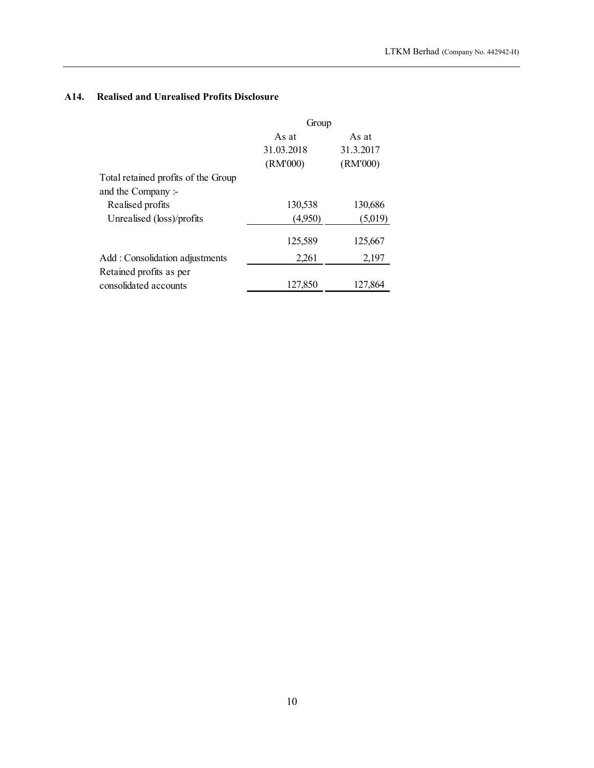# A14. Realised and Unrealised Profits Disclosure

|                                                           |                     |                    | LTKM Berhad (Company No. 442942-H) |
|-----------------------------------------------------------|---------------------|--------------------|------------------------------------|
|                                                           |                     |                    |                                    |
| <b>Realised and Unrealised Profits Disclosure</b>         |                     |                    |                                    |
|                                                           | Group               |                    |                                    |
|                                                           | As at<br>31.03.2018 | As at<br>31.3.2017 |                                    |
|                                                           | (RM'000)            | (RM'000)           |                                    |
| Total retained profits of the Group<br>and the Company :- |                     |                    |                                    |
| Realised profits                                          | 130,538             | 130,686            |                                    |
| Unrealised (loss)/profits                                 | (4,950)             | (5,019)            |                                    |
|                                                           | 125,589             | 125,667            |                                    |
|                                                           |                     | 2,197              |                                    |
| Add: Consolidation adjustments                            | 2,261               |                    |                                    |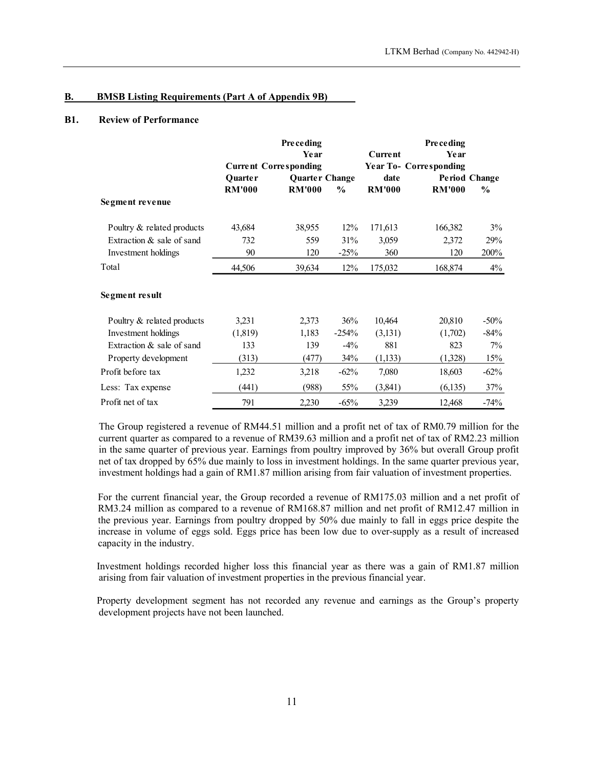#### B. BMSB Listing Requirements (Part A of Appendix 9B)

# B1. Review of Performance

|                                                          |                          |                                                                        |               |                       | LTKM Berhad (Company No. 442942-H)             |                                       |
|----------------------------------------------------------|--------------------------|------------------------------------------------------------------------|---------------|-----------------------|------------------------------------------------|---------------------------------------|
|                                                          |                          |                                                                        |               |                       |                                                |                                       |
| <b>BMSB Listing Requirements (Part A of Appendix 9B)</b> |                          |                                                                        |               |                       |                                                |                                       |
| <b>Review of Performance</b>                             |                          |                                                                        |               |                       |                                                |                                       |
|                                                          |                          | <b>Preceding</b><br>Year                                               |               | Current               | <b>Preceding</b><br>Year                       |                                       |
|                                                          | Quarter<br><b>RM'000</b> | <b>Current Corresponding</b><br><b>Quarter Change</b><br><b>RM'000</b> | $\frac{0}{0}$ | date<br><b>RM'000</b> | <b>Year To- Corresponding</b><br><b>RM'000</b> | <b>Period Change</b><br>$\frac{6}{9}$ |
| Segment revenue                                          |                          |                                                                        |               |                       |                                                |                                       |
| Poultry & related products                               | 43,684                   | 38,955                                                                 | 12%           | 171,613               | 166,382                                        | 3%                                    |
| Extraction & sale of sand<br>Investment holdings         | 732<br>90                | 559<br>120                                                             | 31%<br>$-25%$ | 3,059<br>360          | 2,372<br>120                                   | 29%<br>200%                           |
| Total                                                    | 44,506                   | 39,634                                                                 | 12%           | 175,032               | 168,874                                        | 4%                                    |
| <b>Segment result</b>                                    |                          |                                                                        |               |                       |                                                |                                       |
| Poultry & related products                               | 3,231                    | 2,373                                                                  | 36%           | 10,464                | 20,810                                         | $-50%$                                |
| Investment holdings                                      | (1,819)                  | 1,183                                                                  | $-254%$       | (3,131)               | (1,702)                                        | $-84%$                                |
| Extraction & sale of sand                                | 133                      | 139                                                                    | $-4\%$        | 881                   | 823                                            | 7%                                    |
| Property development                                     | (313)                    | (477)                                                                  | 34%           | (1, 133)              | (1,328)                                        | 15%                                   |
| Profit before tax                                        | 1,232                    | 3,218                                                                  | $-62%$        | 7,080                 | 18,603                                         | $-62%$                                |
| Less: Tax expense                                        | (441)                    | (988)                                                                  | 55%           | (3,841)               | (6,135)                                        | 37%                                   |
| Profit net of tax                                        | 791                      | 2,230                                                                  | $-65%$        | 3,239                 | 12,468                                         | $-74%$                                |

 The Group registered a revenue of RM44.51 million and a profit net of tax of RM0.79 million for the current quarter as compared to a revenue of RM39.63 million and a profit net of tax of RM2.23 million in the same quarter of previous year. Earnings from poultry improved by 36% but overall Group profit net of tax dropped by 65% due mainly to loss in investment holdings. In the same quarter previous year, investment holdings had a gain of RM1.87 million arising from fair valuation of investment properties.

For the current financial year, the Group recorded a revenue of RM175.03 million and a net profit of RM3.24 million as compared to a revenue of RM168.87 million and net profit of RM12.47 million in the previous year. Earnings from poultry dropped by 50% due mainly to fall in eggs price despite the increase in volume of eggs sold. Eggs price has been low due to over-supply as a result of increased capacity in the industry.

Investment holdings recorded higher loss this financial year as there was a gain of RM1.87 million arising from fair valuation of investment properties in the previous financial year.

Property development segment has not recorded any revenue and earnings as the Group's property development projects have not been launched.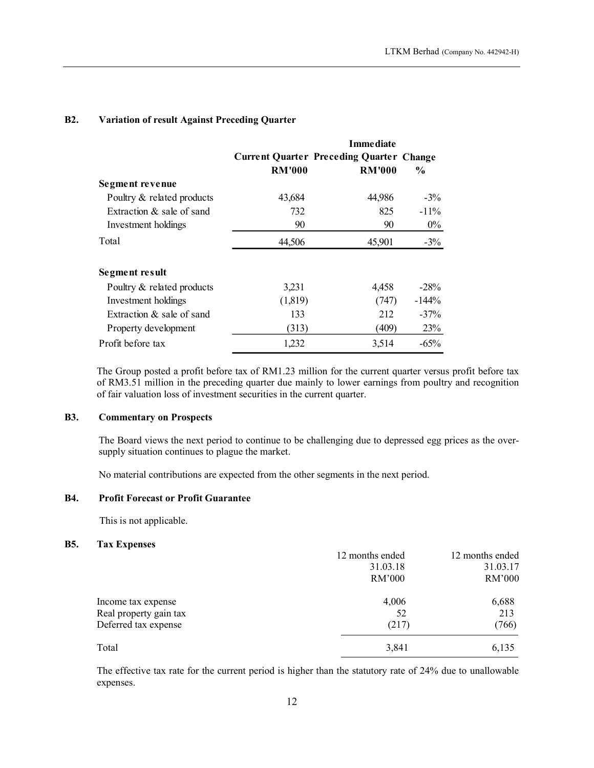|                                                      |               |                                                                  |               | LTKM Berhad (Company No. 442942-H) |
|------------------------------------------------------|---------------|------------------------------------------------------------------|---------------|------------------------------------|
|                                                      |               |                                                                  |               |                                    |
| <b>Variation of result Against Preceding Quarter</b> |               |                                                                  |               |                                    |
|                                                      |               | <b>Immediate</b>                                                 |               |                                    |
|                                                      | <b>RM'000</b> | <b>Current Quarter Preceding Quarter Change</b><br><b>RM'000</b> | $\frac{6}{6}$ |                                    |
| Segment revenue                                      |               |                                                                  |               |                                    |
| Poultry & related products                           | 43,684        | 44,986                                                           | $-3%$         |                                    |
| Extraction & sale of sand                            | 732           | 825                                                              | $-11%$        |                                    |
| Investment holdings                                  | 90            | 90                                                               | $0\%$         |                                    |
| Total                                                | 44,506        | 45,901                                                           | $-3\%$        |                                    |
| Segment result                                       |               |                                                                  |               |                                    |
| Poultry & related products                           | 3,231         | 4,458                                                            | $-28%$        |                                    |
| Investment holdings                                  | (1,819)       | (747)                                                            | $-144%$       |                                    |
| Extraction & sale of sand                            | 133           | 212                                                              | $-37%$        |                                    |
| Property development                                 | (313)         | (409)                                                            | 23%           |                                    |
|                                                      | 1,232         | 3,514                                                            | $-65%$        |                                    |

# B2. Variation of result Against Preceding Quarter

# B3. Commentary on Prospects

The Board views the next period to continue to be challenging due to depressed egg prices as the oversupply situation continues to plague the market.

No material contributions are expected from the other segments in the next period.

## B4. Profit Forecast or Profit Guarantee

This is not applicable.

# B5. Tax Expenses

|                        | 12 months ended | 12 months ended |
|------------------------|-----------------|-----------------|
|                        | 31.03.18        | 31.03.17        |
|                        | RM'000          | RM'000          |
| Income tax expense     | 4,006           | 6,688           |
| Real property gain tax | 52              | 213             |
| Deferred tax expense   | (217)           | (766)           |
| Total                  | 3,841           | 6,135           |

The effective tax rate for the current period is higher than the statutory rate of 24% due to unallowable expenses.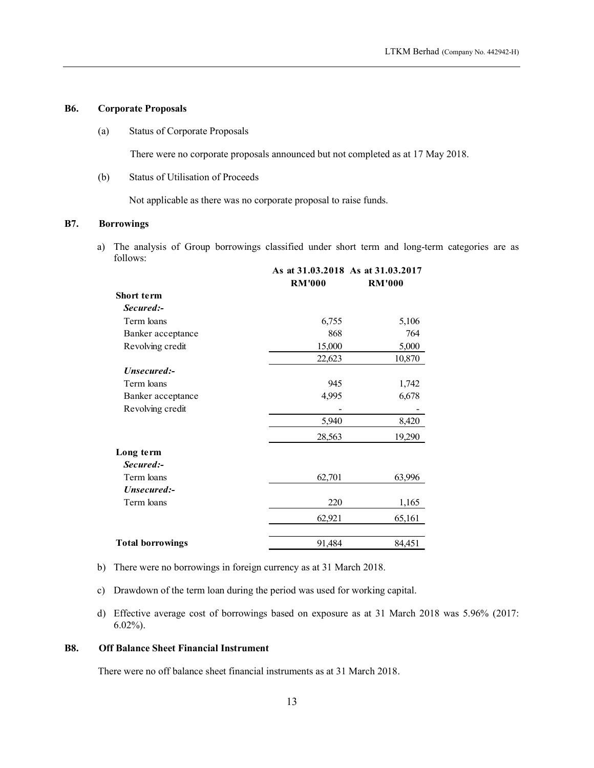## B6. Corporate Proposals

(a) Status of Corporate Proposals

(b) Status of Utilisation of Proceeds

# B7. Borrowings

|                                                                                                          |                                                                                  |               | LTKM Berhad (Company No. 442942-H) |
|----------------------------------------------------------------------------------------------------------|----------------------------------------------------------------------------------|---------------|------------------------------------|
|                                                                                                          |                                                                                  |               |                                    |
| porate Proposals                                                                                         |                                                                                  |               |                                    |
| <b>Status of Corporate Proposals</b>                                                                     |                                                                                  |               |                                    |
|                                                                                                          | There were no corporate proposals announced but not completed as at 17 May 2018. |               |                                    |
| <b>Status of Utilisation of Proceeds</b>                                                                 |                                                                                  |               |                                    |
|                                                                                                          | Not applicable as there was no corporate proposal to raise funds.                |               |                                    |
| rowings                                                                                                  |                                                                                  |               |                                    |
| The analysis of Group borrowings classified under short term and long-term categories are as<br>follows: |                                                                                  |               |                                    |
|                                                                                                          |                                                                                  |               |                                    |
|                                                                                                          | As at 31.03.2018 As at 31.03.2017                                                |               |                                    |
|                                                                                                          | <b>RM'000</b>                                                                    | <b>RM'000</b> |                                    |
| Short term                                                                                               |                                                                                  |               |                                    |
| Secured:-                                                                                                |                                                                                  |               |                                    |
| Term loans                                                                                               | 6,755                                                                            | 5,106         |                                    |
| Banker acceptance                                                                                        | 868                                                                              | 764           |                                    |
| Revolving credit                                                                                         | 15,000                                                                           | 5,000         |                                    |
|                                                                                                          | 22,623                                                                           | 10,870        |                                    |
| Unsecured:-                                                                                              |                                                                                  |               |                                    |
| Term loans                                                                                               | 945                                                                              | 1,742         |                                    |
| Banker acceptance                                                                                        | 4,995                                                                            | 6,678         |                                    |
| Revolving credit                                                                                         |                                                                                  |               |                                    |
|                                                                                                          | 5,940                                                                            | 8,420         |                                    |
|                                                                                                          | 28,563                                                                           | 19,290        |                                    |
| Long term                                                                                                |                                                                                  |               |                                    |
| Secured:-                                                                                                |                                                                                  |               |                                    |
| Term loans                                                                                               | 62,701                                                                           | 63,996        |                                    |
| Unsecured:-                                                                                              |                                                                                  |               |                                    |
| Term loans                                                                                               | 220                                                                              | 1,165         |                                    |
|                                                                                                          | 62,921                                                                           | 65,161        |                                    |

- b) There were no borrowings in foreign currency as at 31 March 2018.
- c) Drawdown of the term loan during the period was used for working capital.
- d) Effective average cost of borrowings based on exposure as at 31 March 2018 was 5.96% (2017: 6.02%).

#### B8. Off Balance Sheet Financial Instrument

There were no off balance sheet financial instruments as at 31 March 2018.